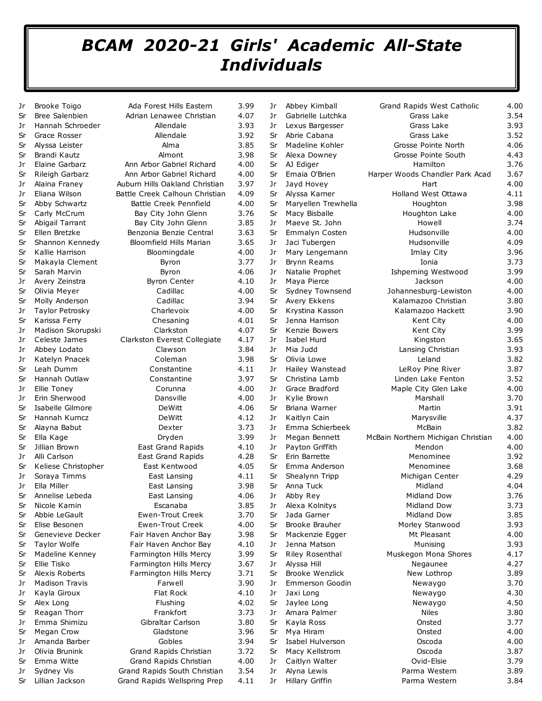## *BCAM 2020-21 Girls' Academic All-State Individuals*

| Jr | <b>Brooke Toigo</b>   | Ada Forest Hills Eastern       | 3.99 | Jr | Abbey Kimball           | <b>Grand Rapids West Catholic</b>  | 4.00 |
|----|-----------------------|--------------------------------|------|----|-------------------------|------------------------------------|------|
| Sr | <b>Bree Salenbien</b> | Adrian Lenawee Christian       | 4.07 | Jr | Gabrielle Lutchka       | Grass Lake                         | 3.54 |
| Jr | Hannah Schroeder      | Allendale                      | 3.93 | Jr | Lexus Bargesser         | Grass Lake                         | 3.93 |
| Sr | Grace Rosser          | Allendale                      | 3.92 | Sr | Abrie Cabana            | Grass Lake                         | 3.52 |
| Sr | Alyssa Leister        | Alma                           | 3.85 | Sr | Madeline Kohler         | Grosse Pointe North                | 4.06 |
| Sr | Brandi Kautz          | Almont                         | 3.98 | Sr | Alexa Downey            | Grosse Pointe South                | 4.43 |
| Jr | Elaine Garbarz        | Ann Arbor Gabriel Richard      | 4.00 | Sr | AJ Ediger               | Hamilton                           | 3.76 |
| Sr | Rileigh Garbarz       | Ann Arbor Gabriel Richard      | 4.00 | Sr | Emaia O'Brien           | Harper Woods Chandler Park Acad    | 3.67 |
| Jr | Alaina Franey         | Auburn Hills Oakland Christian | 3.97 | Jr | Jayd Hovey              | Hart                               | 4.00 |
| Jr | Eliana Wilson         | Battle Creek Calhoun Christian | 4.09 | Sr | Alyssa Karner           | Holland West Ottawa                | 4.11 |
| Sr | Abby Schwartz         | Battle Creek Pennfield         | 4.00 | Sr | Maryellen Trewhella     | Houghton                           | 3.98 |
| Sr | Carly McCrum          | Bay City John Glenn            | 3.76 | Sr | Macy Bisballe           | Houghton Lake                      | 4.00 |
| Sr | Abigail Tarrant       | Bay City John Glenn            | 3.85 | Jr | Maeve St. John          | Howell                             | 3.74 |
| Sr | Ellen Bretzke         | Benzonia Benzie Central        | 3.63 | Sr | Emmalyn Costen          | Hudsonville                        | 4.00 |
| Sr | Shannon Kennedy       | Bloomfield Hills Marian        | 3.65 | Jr | Jaci Tubergen           | Hudsonville                        | 4.09 |
| Sr | Kallie Harrison       | Bloomingdale                   | 4.00 | Jr | Mary Lengemann          | Imlay City                         | 3.96 |
| Sr | Makayla Clement       | Byron                          | 3.77 | Jr | Brynn Reams             | Ionia                              | 3.73 |
| Sr | Sarah Marvin          | Byron                          | 4.06 | Jr | Natalie Prophet         | Ishpeming Westwood                 | 3.99 |
| Jr | Avery Zeinstra        | <b>Byron Center</b>            | 4.10 | Jr | Maya Pierce             | Jackson                            | 4.00 |
| Sr | Olivia Meyer          | Cadillac                       | 4.00 | Sr | Sydney Townsend         | Johannesburg-Lewiston              | 4.00 |
| Sr | Molly Anderson        | Cadillac                       | 3.94 | Sr | Avery Ekkens            | Kalamazoo Christian                | 3.80 |
|    | Taylor Petrosky       | Charlevoix                     | 4.00 | Sr | Krystina Kasson         | Kalamazoo Hackett                  | 3.90 |
| Jr |                       |                                |      |    |                         |                                    | 4.00 |
| Sr | Karissa Ferry         | Chesaning                      | 4.01 | Sr | Jenna Harrison          | Kent City                          |      |
| Jr | Madison Skorupski     | Clarkston                      | 4.07 | Sr | Kenzie Bowers           | Kent City                          | 3.99 |
| Jr | Celeste James         | Clarkston Everest Collegiate   | 4.17 | Jr | Isabel Hurd<br>Mia Judd | Kingston                           | 3.65 |
| Jr | Abbey Lodato          | Clawson                        | 3.84 | Jr |                         | Lansing Christian                  | 3.93 |
| Jr | Katelyn Pnacek        | Coleman                        | 3.98 | Sr | Olivia Lowe             | Leland                             | 3.82 |
| Sr | Leah Dumm             | Constantine                    | 4.11 | Jr | Hailey Wanstead         | LeRoy Pine River                   | 3.87 |
| Sr | Hannah Outlaw         | Constantine                    | 3.97 | Sr | Christina Lamb          | Linden Lake Fenton                 | 3.52 |
| Jr | Ellie Toney           | Corunna                        | 4.00 | Jr | Grace Bradford          | Maple City Glen Lake               | 4.00 |
| Jr | Erin Sherwood         | Dansville                      | 4.00 | Jr | Kylie Brown             | Marshall                           | 3.70 |
| Sr | Isabelle Gilmore      | DeWitt                         | 4.06 | Sr | Briana Warner           | Martin                             | 3.91 |
| Sr | Hannah Kurncz         | DeWitt                         | 4.12 | Jr | Kaitlyn Cain            | Marysville                         | 4.37 |
| Sr | Alayna Babut          | Dexter                         | 3.73 | Jr | Emma Schierbeek         | McBain                             | 3.82 |
| Sr | Ella Kage             | Dryden                         | 3.99 | Jr | Megan Bennett           | McBain Northern Michigan Christian | 4.00 |
| Sr | Jillian Brown         | East Grand Rapids              | 4.10 | Jr | Payton Griffith         | Mendon                             | 4.00 |
| Jr | Alli Carlson          | East Grand Rapids              | 4.28 | Sr | Erin Barrette           | Menominee                          | 3.92 |
| Sr | Keliese Christopher   | East Kentwood                  | 4.05 | Sr | Emma Anderson           | Menominee                          | 3.68 |
| Jr | Soraya Timms          | East Lansing                   | 4.11 | Sr | Shealynn Tripp          | Michigan Center                    | 4.29 |
| Jr | Ella Miller           | East Lansing                   | 3.98 | Sr | Anna Tuck               | Midland                            | 4.04 |
| Sr | Annelise Lebeda       | East Lansing                   | 4.06 | Jr | Abby Rey                | <b>Midland Dow</b>                 | 3.76 |
| Sr | Nicole Kamin          | Escanaba                       | 3.85 | Jr | Alexa Kolnitys          | Midland Dow                        | 3.73 |
| Sr | Abbie LeGault         | Ewen-Trout Creek               | 3.70 | Sr | Jada Garner             | Midland Dow                        | 3.85 |
| Sr | Elise Besonen         | Ewen-Trout Creek               | 4.00 | Sr | Brooke Brauher          | Morley Stanwood                    | 3.93 |
| Sr | Genevieve Decker      | Fair Haven Anchor Bay          | 3.98 | Sr | Mackenzie Egger         | Mt Pleasant                        | 4.00 |
| Sr | <b>Taylor Wolfe</b>   | Fair Haven Anchor Bay          | 4.10 | Jr | Jenna Matson            | Munising                           | 3.93 |
| Sr | Madeline Kenney       | Farmington Hills Mercy         | 3.99 | Sr | Riley Rosenthal         | Muskegon Mona Shores               | 4.17 |
| Sr | Ellie Tisko           | Farmington Hills Mercy         | 3.67 | Jr | Alyssa Hill             | Negaunee                           | 4.27 |
| Sr | Alexis Roberts        | Farmington Hills Mercy         | 3.71 | Sr | Brooke Wenzlick         | New Lothrop                        | 3.89 |
| Jr | <b>Madison Travis</b> | Farwell                        | 3.90 | Jr | Emmerson Goodin         | Newaygo                            | 3.70 |
| Jr | Kayla Giroux          | Flat Rock                      | 4.10 | Jr | Jaxi Long               | Newaygo                            | 4.30 |
| Sr | Alex Long             | Flushing                       | 4.02 | Sr | Jaylee Long             | Newaygo                            | 4.50 |
| Sr | Reagan Thorr          | Frankfort                      | 3.73 | Jr | Amara Palmer            | Niles                              | 3.80 |
| Jr | Emma Shimizu          | Gibraltar Carlson              | 3.80 | Sr | Kayla Ross              | Onsted                             | 3.77 |
| Sr | Megan Crow            | Gladstone                      | 3.96 | Sr | Mya Hiram               | Onsted                             | 4.00 |
| Jr | Amanda Barber         | Gobles                         | 3.94 | Sr | Isabel Hulverson        | Oscoda                             | 4.00 |
| Jr | Olivia Brunink        | Grand Rapids Christian         | 3.72 | Sr | Macy Kellstrom          | Oscoda                             | 3.87 |
| Sr | Emma Witte            | Grand Rapids Christian         | 4.00 | Jr | Caitlyn Walter          | Ovid-Elsie                         | 3.79 |
| Jr | Sydney Vis            | Grand Rapids South Christian   | 3.54 | Jr | Alyna Lewis             | Parma Western                      | 3.89 |
| Sr | Lillian Jackson       | Grand Rapids Wellspring Prep   | 4.11 | Jr | Hillary Griffin         | Parma Western                      | 3.84 |
|    |                       |                                |      |    |                         |                                    |      |